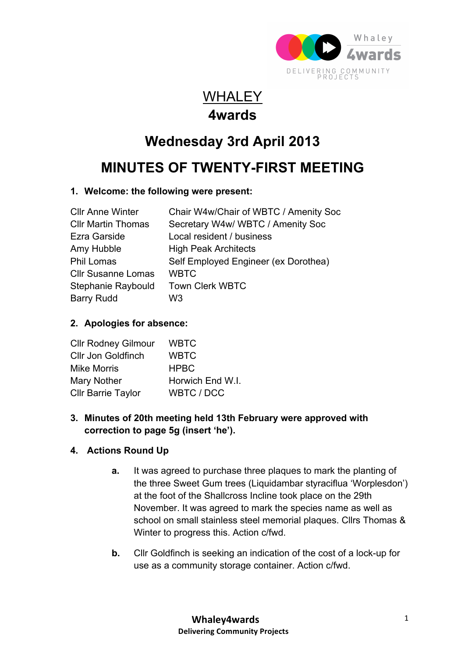

### **WHALEY 4wards**

# **Wednesday 3rd April 2013**

## **MINUTES OF TWENTY-FIRST MEETING**

#### **1. Welcome: the following were present:**

| <b>CIIr Anne Winter</b>   | Chair W4w/Chair of WBTC / Amenity Soc |
|---------------------------|---------------------------------------|
| <b>CIIr Martin Thomas</b> | Secretary W4w/WBTC / Amenity Soc      |
| <b>Ezra Garside</b>       | Local resident / business             |
| Amy Hubble                | <b>High Peak Architects</b>           |
| <b>Phil Lomas</b>         | Self Employed Engineer (ex Dorothea)  |
| <b>Cllr Susanne Lomas</b> | <b>WBTC</b>                           |
| Stephanie Raybould        | <b>Town Clerk WBTC</b>                |
| <b>Barry Rudd</b>         | W3.                                   |

#### **2. Apologies for absence:**

| <b>WBTC</b>      |
|------------------|
| <b>WBTC</b>      |
| <b>HPBC</b>      |
| Horwich End W.I. |
| WBTC / DCC       |
|                  |

#### **3. Minutes of 20th meeting held 13th February were approved with correction to page 5g (insert 'he').**

#### **4. Actions Round Up**

- **a.** It was agreed to purchase three plaques to mark the planting of the three Sweet Gum trees (Liquidambar styraciflua 'Worplesdon') at the foot of the Shallcross Incline took place on the 29th November. It was agreed to mark the species name as well as school on small stainless steel memorial plaques. Cllrs Thomas & Winter to progress this. Action c/fwd.
- **b.** Cllr Goldfinch is seeking an indication of the cost of a lock-up for use as a community storage container. Action c/fwd.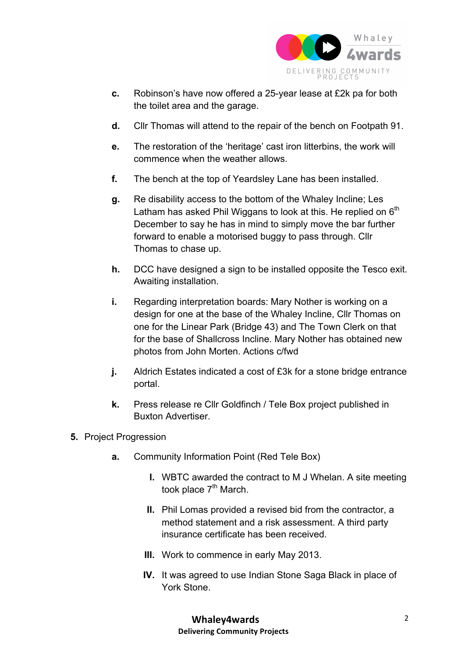

- **c.** Robinson's have now offered a 25-year lease at £2k pa for both the toilet area and the garage.
- **d.** Cllr Thomas will attend to the repair of the bench on Footpath 91.
- **e.** The restoration of the 'heritage' cast iron litterbins, the work will commence when the weather allows.
- **f.** The bench at the top of Yeardsley Lane has been installed.
- **g.** Re disability access to the bottom of the Whaley Incline; Les Latham has asked Phil Wiggans to look at this. He replied on  $6<sup>th</sup>$ December to say he has in mind to simply move the bar further forward to enable a motorised buggy to pass through. Cllr Thomas to chase up.
- **h.** DCC have designed a sign to be installed opposite the Tesco exit. Awaiting installation.
- **i.** Regarding interpretation boards: Mary Nother is working on a design for one at the base of the Whaley Incline, Cllr Thomas on one for the Linear Park (Bridge 43) and The Town Clerk on that for the base of Shallcross Incline. Mary Nother has obtained new photos from John Morten. Actions c/fwd
- **j.** Aldrich Estates indicated a cost of £3k for a stone bridge entrance portal.
- **k.** Press release re Cllr Goldfinch / Tele Box project published in Buxton Advertiser.
- **5.** Project Progression
	- **a.** Community Information Point (Red Tele Box)
		- **I.** WBTC awarded the contract to M J Whelan. A site meeting took place  $7<sup>th</sup>$  March.
		- **II.** Phil Lomas provided a revised bid from the contractor, a method statement and a risk assessment. A third party insurance certificate has been received.
		- **III.** Work to commence in early May 2013.
		- **IV.** It was agreed to use Indian Stone Saga Black in place of York Stone.